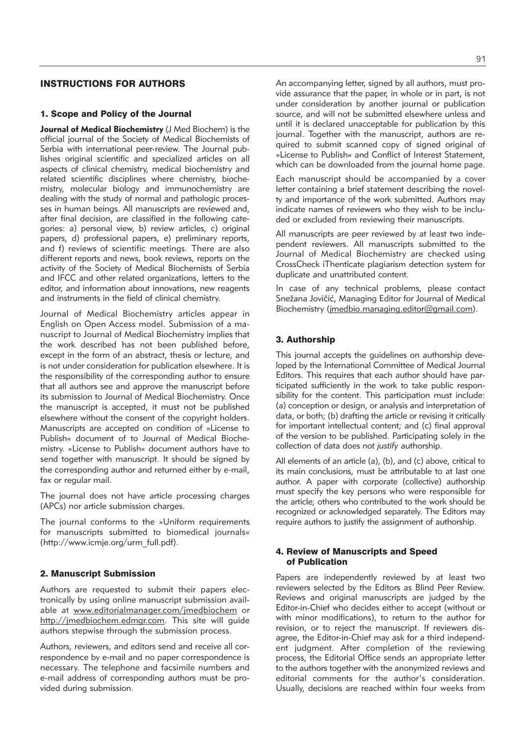# INSTRUCTIONS FOR AUTHORS

#### 1. Scope and Policy of the Journal

**Journal of Medical Biochemistry** (J Med Biochem) is the official journal of the Society of Medical Biochemists of Serbia with international peer-review. The Journal publishes original scientific and specialized articles on all aspects of clinical chemistry, medical biochemistry and related scientific disciplines where chemistry, biochemistry, molecular biology and immunochemistry are dealing with the study of normal and pathologic processes in human beings. All manuscripts are reviewed and, after final decision, are classified in the following categories: a) personal view, b) review articles, c) original papers, d) professional papers, e) preliminary reports, and f) reviews of scientific meetings. There are also different reports and news, book reviews, reports on the activity of the Society of Medical Biochemists of Serbia and IFCC and other related organizations, letters to the editor, and information about innovations, new reagents and instruments in the field of clinical chemistry.

Journal of Medical Biochemistry articles appear in English on Open Access model. Submission of a manu script to Journal of Medical Biochemistry implies that the work described has not been published before, except in the form of an abstract, thesis or lecture, and is not under consideration for publication elsewhere. It is the responsibility of the corresponding author to ensure that all authors see and approve the manuscript before its submission to Journal of Medical Biochemistry. Once the manuscript is accepted, it must not be published elsewhere without the consent of the copyright holders. Manuscripts are accepted on condition of »License to Publish« document of to Journal of Medical Biochemistry. »License to Publish« document authors have to send together with manuscript. It should be signed by the corresponding author and returned either by e-mail, fax or regular mail.

The journal does not have article processing charges (APCs) nor article submission charges.

The journal conforms to the »Uniform requirements for manuscripts submitted to biomedical journals« (http://www.icmje.org/urm\_full.pdf).

#### 2. Manuscript Submission

Authors are requested to submit their papers electronically by using online manuscript submission available at www.editorialmanager.com/jmedbiochem or http://jmedbiochem.edmgr.com. This site will guide authors stepwise through the submission process.

Authors, reviewers, and editors send and receive all correspondence by e-mail and no paper correspondence is necessary. The telephone and facsimile numbers and e-mail address of corresponding authors must be provided during submission.

91

An accompanying letter, signed by all authors, must provide assurance that the paper, in whole or in part, is not under consideration by another journal or publication source, and will not be submitted elsewhere unless and until it is declared unacceptable for publication by this journal. Together with the manuscript, authors are required to submit scanned copy of signed original of »License to Publish« and Conflict of Interest Statement, which can be downloaded from the journal home page.

Each manuscript should be accompanied by a cover letter containing a brief statement describing the novelty and importance of the work submitted. Authors may indicate names of reviewers who they wish to be included or excluded from reviewing their manuscripts.

All manuscripts are peer reviewed by at least two independent reviewers. All manuscripts submitted to the Journal of Medical Biochemistry are checked using CrossCheck iThenticate plagiarism detection system for duplicate and unattributed content.

In case of any technical problems, please contact Snežana Jovičić, Managing Editor for Journal of Medical Biochemistry (jmedbio.managing.editor@gmail.com).

#### 3. Authorship

This journal accepts the guidelines on authorship developed by the International Committee of Medical Journal Editors. This requires that each author should have participated sufficiently in the work to take public responsibility for the content. This participation must include: (a) conception or design, or analysis and interpretation of data, or both; (b) drafting the article or revising it critically for important intellectual content; and (c) final approval of the version to be published. Participating solely in the collection of data does *not justify* authorship.

All elements of an article (a), (b), and (c) above, critical to its main conclusions, must be attributable to at last one author. A paper with corporate (collective) authorship must specify the key persons who were responsible for the article; others who contributed to the work should be re cognized or acknowledged separately. The Editors may require authors to justify the assignment of authorship.

### 4. Review of Manuscripts and Speed of Publication

Papers are independently reviewed by at least two reviewers selected by the Editors as Blind Peer Review. Reviews and original manuscripts are judged by the Editor-in-Chief who decides either to accept (without or with minor modifications), to return to the author for revision, or to reject the manuscript. If reviewers disagree, the Editor-in-Chief may ask for a third independent judgment. After completion of the reviewing process, the Editorial Office sends an appropriate letter to the authors together with the anonymized reviews and editorial comments for the author's consideration. Usually, decisions are reached within four weeks from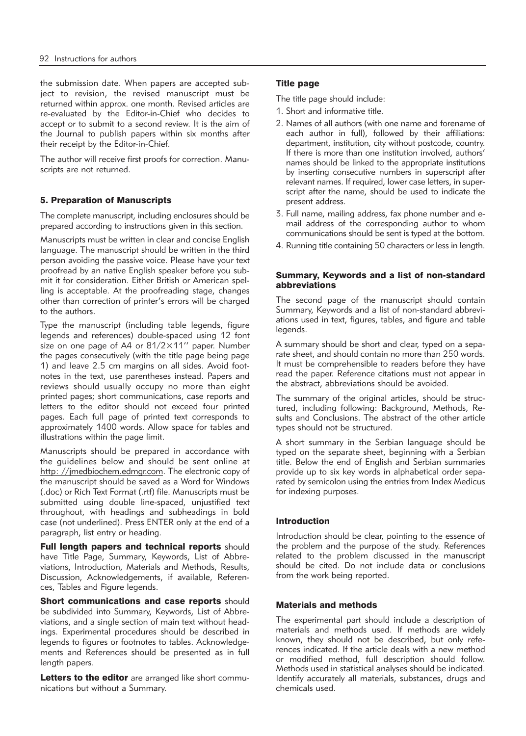the submission date. When papers are accepted subject to revision, the revised manuscript must be returned within approx. one month. Revised articles are re-evaluated by the Editor-in-Chief who decides to accept or to submit to a second review. It is the aim of the Journal to publish papers within six months after their receipt by the Editor-in-Chief.

The author will receive first proofs for correction. Manuscripts are not returned.

## 5. Preparation of Manuscripts

The complete manuscript, including enclosures should be prepared according to instructions given in this section.

Manuscripts must be written in clear and concise English language. The manuscript should be written in the third person avoiding the passive voice. Please have your text proofread by an native English speaker before you submit it for consideration. Either British or American spelling is acceptable. At the proofreading stage, changes other than correction of printer's errors will be charged to the authors.

Type the manuscript (including table legends, figure legends and references) double-spaced using 12 font size on one page of A4 or 81/2×11'' paper. Number the pages consecutively (with the title page being page 1) and leave 2.5 cm margins on all sides. Avoid footnotes in the text, use parentheses instead. Papers and reviews should usually occupy no more than eight printed pages; short communications, case reports and letters to the editor should not exceed four printed pages. Each full page of printed text corresponds to approximately 1400 words. Allow space for tables and illustrations within the page limit.

Manuscripts should be prepared in accordance with the guidelines below and should be sent online at http: //jmedbiochem.edmgr.com. The electronic copy of the manuscript should be saved as a Word for Windows (.doc) or Rich Text Format (.rtf) file. Manuscripts must be submitted using double line-spaced, unjustified text throughout, with headings and subheadings in bold case (not underlined). Press ENTER only at the end of a paragraph, list entry or heading.

Full length papers and technical reports should have Title Page, Summary, Keywords, List of Abbreviations, Introduction, Materials and Methods, Results, Discussion, Acknowledgements, if available, References, Tables and Figure legends.

Short communications and case reports should be subdivided into Summary, Keywords, List of Abbreviations, and a single section of main text without headings. Experimental procedures should be described in legends to figures or footnotes to tables. Acknowledgements and References should be presented as in full length papers.

Letters to the editor are arranged like short communications but without a Summary.

# Title page

The title page should include:

- 1. Short and informative title.
- 2. Names of all authors (with one name and forename of each author in full), followed by their affiliations: department, institution, city without postcode, country. If there is more than one institution involved, authors' names should be linked to the appropriate institutions by inserting consecutive numbers in superscript after relevant names. If required, lower case letters, in superscript after the name, should be used to indicate the present address.
- 3. Full name, mailing address, fax phone number and email address of the corresponding author to whom communications should be sent is typed at the bottom.
- 4. Running title containing 50 characters or less in length.

### Summary, Keywords and a list of non-standard abbreviations

The second page of the manuscript should contain Summary, Keywords and a list of non-standard abbreviations used in text, figures, tables, and figure and table legends.

A summary should be short and clear, typed on a separate sheet, and should contain no more than 250 words. It must be comprehensible to readers before they have read the paper. Reference citations must not appear in the abstract, abbreviations should be avoided.

The summary of the original articles, should be structured, including following: Background, Methods, Results and Conclusions. The abstract of the other article types should not be structured.

A short summary in the Serbian language should be typed on the separate sheet, beginning with a Serbian title. Below the end of English and Serbian summaries provide up to six key words in alphabetical order separated by semicolon using the entries from Index Medicus for indexing purposes.

## Introduction

Introduction should be clear, pointing to the essence of the problem and the purpose of the study. References related to the problem discussed in the manuscript should be cited. Do not include data or conclusions from the work being reported.

## Materials and methods

The experimental part should include a description of materials and methods used. If methods are widely known, they should not be described, but only references indicated. If the article deals with a new method or modified method, full description should follow. Methods used in statistical analyses should be indicated. Identify accurately all materials, substances, drugs and chemicals used.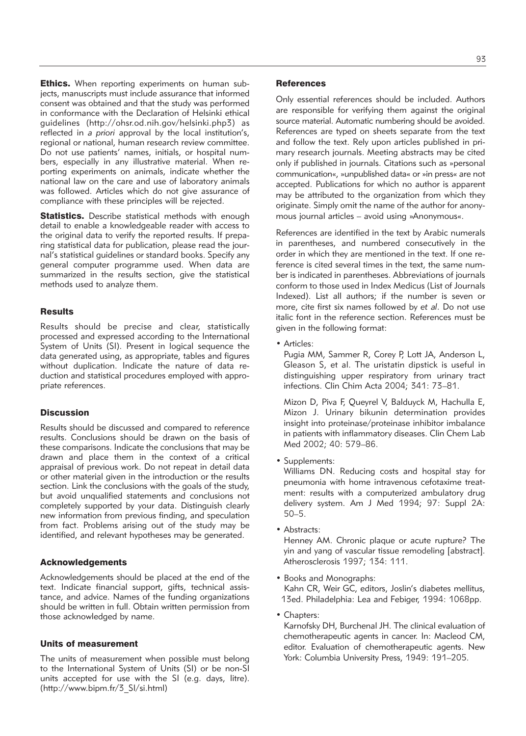**Ethics.** When reporting experiments on human subjects, manuscripts must include assurance that informed consent was obtained and that the study was performed in conformance with the Declaration of Helsinki ethical guidelines (http://ohsr.od.nih.gov/helsinki.php3) as reflected in *a priori* approval by the local institution's, regional or national, human research review committee. Do not use patients' names, initials, or hospital numbers, especially in any illustrative material. When reporting experiments on animals, indicate whether the national law on the care and use of laboratory animals was followed. Articles which do not give assurance of compliance with these principles will be rejected.

**Statistics.** Describe statistical methods with enough detail to enable a knowledgeable reader with access to the original data to verify the reported results. If preparing statistical data for publication, please read the journal's statistical guidelines or standard books. Specify any general computer programme used. When data are summarized in the results section, give the statistical methods used to analyze them.

#### **Results**

Results should be precise and clear, statistically processed and expressed according to the International System of Units (SI). Present in logical sequence the data generated using, as appropriate, tables and figures without duplication. Indicate the nature of data reduction and statistical procedures employed with appropriate references.

### **Discussion**

Results should be discussed and compared to reference results. Conclusions should be drawn on the basis of these comparisons. Indicate the conclusions that may be drawn and place them in the context of a critical appraisal of previous work. Do not repeat in detail data or other material given in the introduction or the results section. Link the conclusions with the goals of the study, but avoid unqualified statements and conclusions not completely supported by your data. Distinguish clearly new information from previous finding, and speculation from fact. Problems arising out of the study may be identified, and relevant hypotheses may be generated.

#### Acknowledgements

Acknowledgements should be placed at the end of the text. Indicate financial support, gifts, technical assistance, and advice. Names of the funding organizations should be written in full. Obtain written permission from those acknowledged by name.

### Units of measurement

The units of measurement when possible must belong to the International System of Units (SI) or be non-SI units accepted for use with the SI (e.g. days, litre). (http://www.bipm.fr/3\_SI/si.html)

#### **References**

Only essential references should be included. Authors are responsible for verifying them against the original source material. Automatic numbering should be avoided. References are typed on sheets separate from the text and follow the text. Rely upon articles published in primary research journals. Meeting abstracts may be cited only if published in journals. Citations such as »personal communication«, »unpublished data« or »in press« are not accepted. Publications for which no author is apparent may be attributed to the organization from which they originate. Simply omit the name of the author for anonymous journal articles – avoid using »Anonymous«.

References are identified in the text by Arabic numerals in parentheses, and numbered consecutively in the order in which they are mentioned in the text. If one reference is cited several times in the text, the same number is indicated in parentheses. Abbreviations of journals conform to those used in Index Medicus (List of Journals Indexed). List all authors; if the number is seven or more, cite first six names followed by *et al*. Do not use italic font in the reference section. References must be given in the following format:

• Articles:

Pugia MM, Sammer R, Corey P, Lott JA, Anderson L, Gleason S, et al. The uristatin dipstick is useful in distinguishing upper respiratory from urinary tract infections. Clin Chim Acta 2004; 341: 73–81.

Mizon D, Piva F, Queyrel V, Balduyck M, Hachulla E, Mizon J. Urinary bikunin determination provides insight into proteinase/proteinase inhibitor imbalance in patients with inflammatory diseases. Clin Chem Lab Med 2002; 40: 579–86.

• Supplements:

Williams DN. Reducing costs and hospital stay for pneumonia with home intravenous cefotaxime treatment: results with a computerized ambulatory drug delivery system. Am J Med 1994; 97: Suppl 2A: 50–5.

• Abstracts:

Henney AM. Chronic plaque or acute rupture? The yin and yang of vascular tissue remodeling [abstract]. Atherosclerosis 1997; 134: 111.

• Books and Monographs:

Kahn CR, Weir GC, editors, Joslin's diabetes mellitus, 13ed. Philadelphia: Lea and Febiger, 1994: 1068pp.

• Chapters:

Karnofsky DH, Burchenal JH. The clinical evaluation of chemotherapeutic agents in cancer. In: Macleod CM, editor. Evaluation of chemotherapeutic agents. New York: Columbia University Press, 1949: 191–205.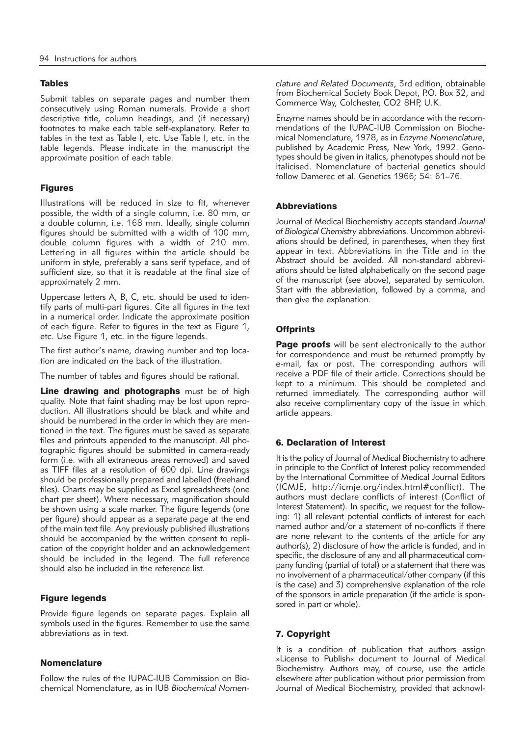#### **Tables**

Submit tables on separate pages and number them consecutively using Roman numerals. Provide a short descriptive title, column headings, and (if necessary) footnotes to make each table self-explanatory. Refer to tables in the text as Table I, etc. Use Table I, etc. in the table legends. Please indicate in the manuscript the approximate position of each table.

## Figures

Illustrations will be reduced in size to fit, whenever possible, the width of a single column, i.e. 80 mm, or a double column, i.e. 168 mm. Ideally, single column figures should be submitted with a width of 100 mm, double column figures with a width of 210 mm. Lettering in all figures within the article should be uniform in style, preferably a sans serif typeface, and of sufficient size, so that it is readable at the final size of approximately 2 mm.

Uppercase letters A, B, C, etc. should be used to identify parts of multi-part figures. Cite all figures in the text in a numerical order. Indicate the approximate position of each figure. Refer to figures in the text as Figure 1, etc. Use Figure 1, etc. in the figure legends.

The first author's name, drawing number and top location are indicated on the back of the illustration.

The number of tables and figures should be rational.

Line drawing and photographs must be of high quality. Note that faint shading may be lost upon reproduction. All illustrations should be black and white and should be numbered in the order in which they are mentioned in the text. The figures must be saved as separate files and printouts appended to the manuscript. All photographic figures should be submitted in camera-ready form (i.e. with all extraneous areas removed) and saved as TIFF files at a resolution of 600 dpi. Line drawings should be professionally prepared and labelled (freehand files). Charts may be supplied as Excel spreadsheets (one chart per sheet). Where necessary, magnification should be shown using a scale marker. The figure legends (one per figure) should appear as a separate page at the end of the main text file. Any previously published illustrations should be accompanied by the written consent to replication of the copyright holder and an acknowledgement should be included in the legend. The full reference should also be included in the reference list.

#### Figure legends

Provide figure legends on separate pages. Explain all symbols used in the figures. Remember to use the same abbreviations as in text.

### **Nomenclature**

Follow the rules of the IUPAC-IUB Commission on Biochemical Nomenclature, as in IUB *Biochemical Nomen -* *clature and Related Documents*, 3rd edition, obtainable from Biochemical Society Book Depot, P.O. Box 32, and Commerce Way, Colchester, CO2 8HP, U.K.

Enzyme names should be in accordance with the recommendations of the IUPAC-IUB Commission on Biochemical Nomenclature, 1978, as in *Enzyme Nomenclature*, published by Academic Press, New York, 1992. Genotypes should be given in italics, phenotypes should not be italicised. Nomenclature of bacterial genetics should follow Damerec et al. Genetics 1966; 54: 61–76.

### **Abbreviations**

Journal of Medical Biochemistry accepts standard *Journal* of Biological Chemistry abbreviations. Uncommon abbreviations should be defined, in parentheses, when they first appear in text. Abbreviations in the Title and in the Abstract should be avoided. All non-standard abbreviations should be listed alphabetically on the second page of the manuscript (see above), separated by semicolon. Start with the abbreviation, followed by a comma, and then give the explanation.

# **Offprints**

Page proofs will be sent electronically to the author for correspondence and must be returned promptly by e-mail, fax or post. The corresponding authors will receive a PDF file of their article. Corrections should be kept to a minimum. This should be completed and returned immediately. The corresponding author will also receive complimentary copy of the issue in which article appears.

## 6. Declaration of Interest

It is the policy of Journal of Medical Biochemistry to adhere in principle to the Conflict of Interest policy recommended by the International Committee of Medical Journal Editors (ICMJE, http://icmje.org/index.html#conflict). The authors must declare conflicts of interest (Conflict of Interest Statement). In specific, we request for the following: 1) all relevant potential conflicts of interest for each named author and/or a statement of no-conflicts if there are none relevant to the contents of the article for any author(s), 2) disclosure of how the article is funded, and in specific, the disclosure of any and all pharmaceutical company funding (partial of total) or a statement that there was no involvement of a pharmaceutical/other company (if this is the case) and 3) comprehensive explanation of the role of the sponsors in article preparation (if the article is sponsored in part or whole).

## 7. Copyright

It is a condition of publication that authors assign »License to Publish« document to Journal of Medical Biochemistry. Authors may, of course, use the article elsewhere after publication without prior permission from Journal of Medical Biochemistry, provided that acknowl